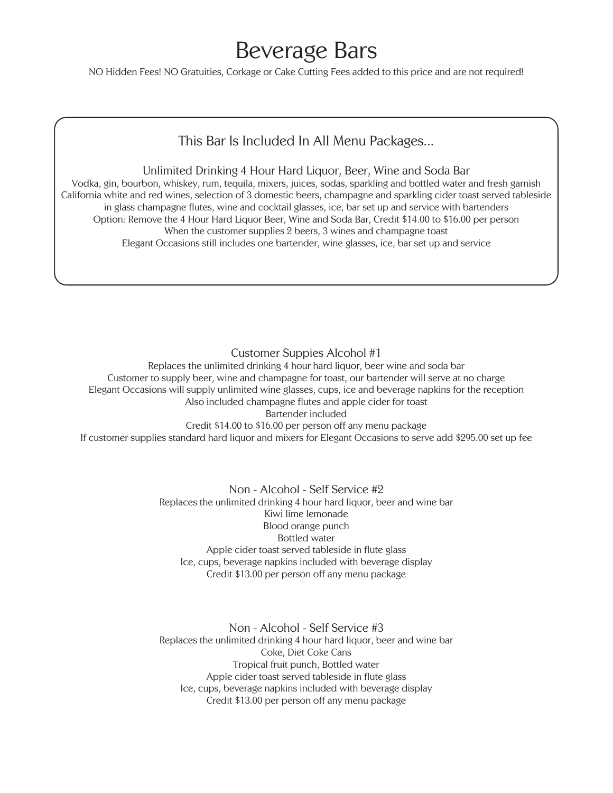# Beverage Bars

NO Hidden Fees! NO Gratuities, Corkage or Cake Cutting Fees added to this price and are not required!

### This Bar Is Included In All Menu Packages...

#### Unlimited Drinking 4 Hour Hard Liquor, Beer, Wine and Soda Bar

Vodka, gin, bourbon, whiskey, rum, tequila, mixers, juices, sodas, sparkling and bottled water and fresh garnish California white and red wines, selection of 3 domestic beers, champagne and sparkling cider toast served tableside in glass champagne flutes, wine and cocktail glasses, ice, bar set up and service with bartenders Option: Remove the 4 Hour Hard Liquor Beer, Wine and Soda Bar, Credit \$14.00 to \$16.00 per person When the customer supplies 2 beers, 3 wines and champagne toast Elegant Occasions still includes one bartender, wine glasses, ice, bar set up and service

Customer Suppies Alcohol #1

Replaces the unlimited drinking 4 hour hard liquor, beer wine and soda bar Customer to supply beer, wine and champagne for toast, our bartender will serve at no charge Elegant Occasions will supply unlimited wine glasses, cups, ice and beverage napkins for the reception Also included champagne flutes and apple cider for toast Bartender included Credit \$14.00 to \$16.00 per person off any menu package

If customer supplies standard hard liquor and mixers for Elegant Occasions to serve add \$295.00 set up fee

Non - Alcohol - Self Service #2 Replaces the unlimited drinking 4 hour hard liquor, beer and wine bar Kiwi lime lemonade Blood orange punch Bottled water Apple cider toast served tableside in flute glass Ice, cups, beverage napkins included with beverage display Credit \$13.00 per person off any menu package

Non - Alcohol - Self Service #3 Replaces the unlimited drinking 4 hour hard liquor, beer and wine bar Coke, Diet Coke Cans Tropical fruit punch, Bottled water Apple cider toast served tableside in flute glass Ice, cups, beverage napkins included with beverage display Credit \$13.00 per person off any menu package